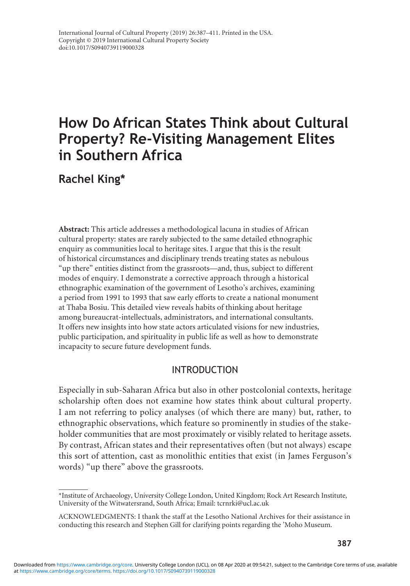# **How Do African States Think about Cultural Property? Re-Visiting Management Elites in Southern Africa**

**Rachel King\***

**Abstract:** This article addresses a methodological lacuna in studies of African cultural property: states are rarely subjected to the same detailed ethnographic enquiry as communities local to heritage sites. I argue that this is the result of historical circumstances and disciplinary trends treating states as nebulous "up there" entities distinct from the grassroots—and, thus, subject to different modes of enquiry. I demonstrate a corrective approach through a historical ethnographic examination of the government of Lesotho's archives, examining a period from 1991 to 1993 that saw early efforts to create a national monument at Thaba Bosiu. This detailed view reveals habits of thinking about heritage among bureaucrat-intellectuals, administrators, and international consultants. It offers new insights into how state actors articulated visions for new industries, public participation, and spirituality in public life as well as how to demonstrate incapacity to secure future development funds.

# INTRODUCTION

Especially in sub-Saharan Africa but also in other postcolonial contexts, heritage scholarship often does not examine how states think about cultural property. I am not referring to policy analyses (of which there are many) but, rather, to ethnographic observations, which feature so prominently in studies of the stakeholder communities that are most proximately or visibly related to heritage assets. By contrast, African states and their representatives often (but not always) escape this sort of attention, cast as monolithic entities that exist (in James Ferguson's words) "up there" above the grassroots.

<sup>\*</sup>Institute of Archaeology, University College London, United Kingdom; Rock Art Research Institute, University of the Witwatersrand, South Africa; Email: [tcrnrki@ucl.ac.uk](mailto:tcrnrki@ucl.ac.uk)

ACKNOWLEDGMENTS: I thank the staff at the Lesotho National Archives for their assistance in conducting this research and Stephen Gill for clarifying points regarding the 'Moho Museum.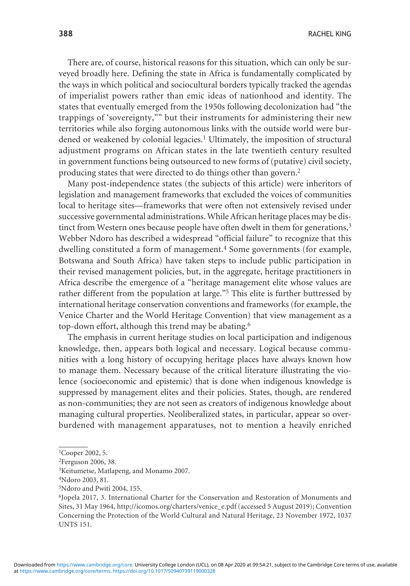There are, of course, historical reasons for this situation, which can only be surveyed broadly here. Defining the state in Africa is fundamentally complicated by the ways in which political and sociocultural borders typically tracked the agendas of imperialist powers rather than emic ideas of nationhood and identity. The states that eventually emerged from the 1950s following decolonization had "the trappings of 'sovereignty,"" but their instruments for administering their new territories while also forging autonomous links with the outside world were burdened or weakened by colonial legacies.<sup>1</sup> Ultimately, the imposition of structural adjustment programs on African states in the late twentieth century resulted in government functions being outsourced to new forms of (putative) civil society, producing states that were directed to do things other than govern.2

Many post-independence states (the subjects of this article) were inheritors of legislation and management frameworks that excluded the voices of communities local to heritage sites—frameworks that were often not extensively revised under successive governmental administrations. While African heritage places may be distinct from Western ones because people have often dwelt in them for generations,<sup>3</sup> Webber Ndoro has described a widespread "official failure" to recognize that this dwelling constituted a form of management.<sup>4</sup> Some governments (for example, Botswana and South Africa) have taken steps to include public participation in their revised management policies, but, in the aggregate, heritage practitioners in Africa describe the emergence of a "heritage management elite whose values are rather different from the population at large."5 This elite is further buttressed by international heritage conservation conventions and frameworks (for example, the Venice Charter and the World Heritage Convention) that view management as a top-down effort, although this trend may be abating.<sup>6</sup>

The emphasis in current heritage studies on local participation and indigenous knowledge, then, appears both logical and necessary. Logical because communities with a long history of occupying heritage places have always known how to manage them. Necessary because of the critical literature illustrating the violence (socioeconomic and epistemic) that is done when indigenous knowledge is suppressed by management elites and their policies. States, though, are rendered as non-communities; they are not seen as creators of indigenous knowledge about managing cultural properties. Neoliberalized states, in particular, appear so overburdened with management apparatuses, not to mention a heavily enriched

<sup>&</sup>lt;sup>1</sup>Cooper 2002, 5.

<sup>2</sup>Ferguson 2006, 38.

<sup>3</sup>Keitumetse, Matlapeng, and Monamo 2007.

<sup>4</sup>Ndoro 2003, 81.

<sup>5</sup>Ndoro and Pwiti 2004, 155.

<sup>6</sup>Jopela 2017, 3. International Charter for the Conservation and Restoration of Monuments and Sites, 31 May 1964, [http://icomos.org/charters/venice\\_e.pdf](http://icomos.org/charters/venice_e.pdf) (accessed 5 August 2019); Convention Concerning the Protection of the World Cultural and Natural Heritage, 23 November 1972, 1037 UNTS 151.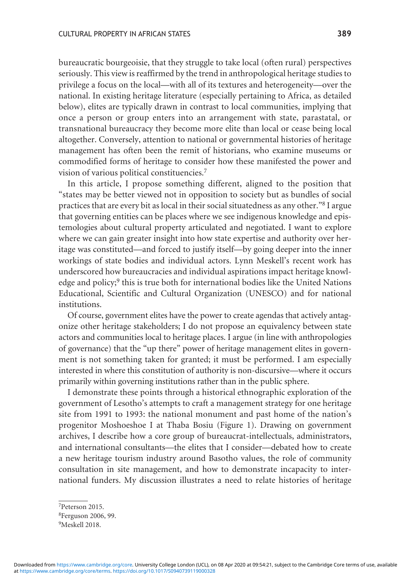bureaucratic bourgeoisie, that they struggle to take local (often rural) perspectives seriously. This view is reaffirmed by the trend in anthropological heritage studies to privilege a focus on the local—with all of its textures and heterogeneity—over the national. In existing heritage literature (especially pertaining to Africa, as detailed below), elites are typically drawn in contrast to local communities, implying that once a person or group enters into an arrangement with state, parastatal, or transnational bureaucracy they become more elite than local or cease being local altogether. Conversely, attention to national or governmental histories of heritage management has often been the remit of historians, who examine museums or commodified forms of heritage to consider how these manifested the power and vision of various political constituencies.7

In this article, I propose something different, aligned to the position that "states may be better viewed not in opposition to society but as bundles of social practices that are every bit as local in their social situatedness as any other."8 I argue that governing entities can be places where we see indigenous knowledge and epistemologies about cultural property articulated and negotiated. I want to explore where we can gain greater insight into how state expertise and authority over heritage was constituted—and forced to justify itself—by going deeper into the inner workings of state bodies and individual actors. Lynn Meskell's recent work has underscored how bureaucracies and individual aspirations impact heritage knowledge and policy;9 this is true both for international bodies like the United Nations Educational, Scientific and Cultural Organization (UNESCO) and for national institutions.

Of course, government elites have the power to create agendas that actively antagonize other heritage stakeholders; I do not propose an equivalency between state actors and communities local to heritage places. I argue (in line with anthropologies of governance) that the "up there" power of heritage management elites in government is not something taken for granted; it must be performed. I am especially interested in where this constitution of authority is non-discursive—where it occurs primarily within governing institutions rather than in the public sphere.

I demonstrate these points through a historical ethnographic exploration of the government of Lesotho's attempts to craft a management strategy for one heritage site from 1991 to 1993: the national monument and past home of the nation's progenitor Moshoeshoe I at Thaba Bosiu (Figure 1). Drawing on government archives, I describe how a core group of bureaucrat-intellectuals, administrators, and international consultants—the elites that I consider—debated how to create a new heritage tourism industry around Basotho values, the role of community consultation in site management, and how to demonstrate incapacity to international funders. My discussion illustrates a need to relate histories of heritage

<sup>7</sup>Peterson 2015.

<sup>8</sup>Ferguson 2006, 99.

<sup>9</sup>Meskell 2018.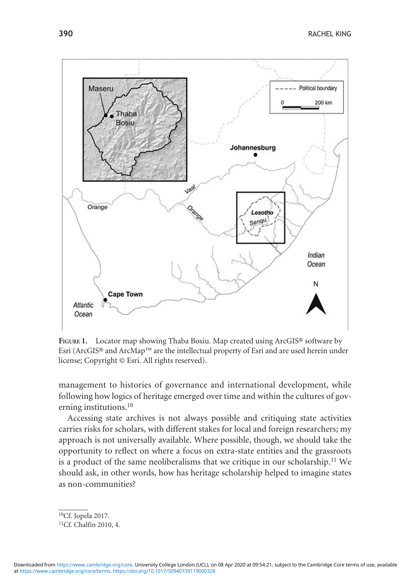

**Figure 1.** Locator map showing Thaba Bosiu. Map created using ArcGIS® software by Esri (ArcGIS® and ArcMap™ are the intellectual property of Esri and are used herein under license; Copyright © Esri. All rights reserved).

management to histories of governance and international development, while following how logics of heritage emerged over time and within the cultures of governing institutions.10

Accessing state archives is not always possible and critiquing state activities carries risks for scholars, with different stakes for local and foreign researchers; my approach is not universally available. Where possible, though, we should take the opportunity to reflect on where a focus on extra-state entities and the grassroots is a product of the same neoliberalisms that we critique in our scholarship.<sup>11</sup> We should ask, in other words, how has heritage scholarship helped to imagine states as non-communities?

<sup>10</sup>Cf. Jopela 2017.

<sup>11</sup>Cf. Chalfin 2010, 4.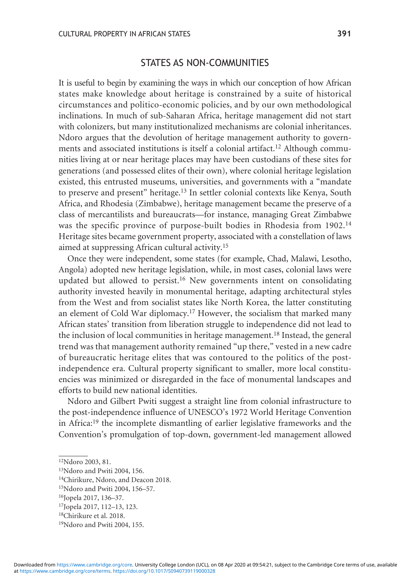#### STATES AS NON-COMMUNITIES

It is useful to begin by examining the ways in which our conception of how African states make knowledge about heritage is constrained by a suite of historical circumstances and politico-economic policies, and by our own methodological inclinations. In much of sub-Saharan Africa, heritage management did not start with colonizers, but many institutionalized mechanisms are colonial inheritances. Ndoro argues that the devolution of heritage management authority to governments and associated institutions is itself a colonial artifact.<sup>12</sup> Although communities living at or near heritage places may have been custodians of these sites for generations (and possessed elites of their own), where colonial heritage legislation existed, this entrusted museums, universities, and governments with a "mandate to preserve and present" heritage.13 In settler colonial contexts like Kenya, South Africa, and Rhodesia (Zimbabwe), heritage management became the preserve of a class of mercantilists and bureaucrats—for instance, managing Great Zimbabwe was the specific province of purpose-built bodies in Rhodesia from 1902.14 Heritage sites became government property, associated with a constellation of laws aimed at suppressing African cultural activity.15

Once they were independent, some states (for example, Chad, Malawi, Lesotho, Angola) adopted new heritage legislation, while, in most cases, colonial laws were updated but allowed to persist.16 New governments intent on consolidating authority invested heavily in monumental heritage, adapting architectural styles from the West and from socialist states like North Korea, the latter constituting an element of Cold War diplomacy.17 However, the socialism that marked many African states' transition from liberation struggle to independence did not lead to the inclusion of local communities in heritage management.<sup>18</sup> Instead, the general trend was that management authority remained "up there," vested in a new cadre of bureaucratic heritage elites that was contoured to the politics of the postindependence era. Cultural property significant to smaller, more local constituencies was minimized or disregarded in the face of monumental landscapes and efforts to build new national identities.

Ndoro and Gilbert Pwiti suggest a straight line from colonial infrastructure to the post-independence influence of UNESCO's 1972 World Heritage Convention in Africa:19 the incomplete dismantling of earlier legislative frameworks and the Convention's promulgation of top-down, government-led management allowed

<sup>12</sup>Ndoro 2003, 81.

<sup>13</sup>Ndoro and Pwiti 2004, 156.

<sup>14</sup>Chirikure, Ndoro, and Deacon 2018.

<sup>15</sup>Ndoro and Pwiti 2004, 156–57.

<sup>16</sup>Jopela 2017, 136–37.

<sup>17</sup>Jopela 2017, 112–13, 123.

<sup>18</sup>Chirikure et al. 2018.

<sup>19</sup>Ndoro and Pwiti 2004, 155.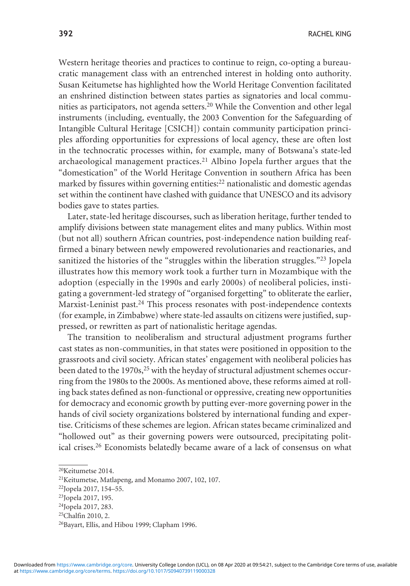Western heritage theories and practices to continue to reign, co-opting a bureaucratic management class with an entrenched interest in holding onto authority. Susan Keitumetse has highlighted how the World Heritage Convention facilitated an enshrined distinction between states parties as signatories and local communities as participators, not agenda setters.20 While the Convention and other legal instruments (including, eventually, the 2003 Convention for the Safeguarding of Intangible Cultural Heritage [CSICH]) contain community participation principles affording opportunities for expressions of local agency, these are often lost in the technocratic processes within, for example, many of Botswana's state-led archaeological management practices.<sup>21</sup> Albino Jopela further argues that the "domestication" of the World Heritage Convention in southern Africa has been marked by fissures within governing entities:<sup>22</sup> nationalistic and domestic agendas set within the continent have clashed with guidance that UNESCO and its advisory bodies gave to states parties.

Later, state-led heritage discourses, such as liberation heritage, further tended to amplify divisions between state management elites and many publics. Within most (but not all) southern African countries, post-independence nation building reaffirmed a binary between newly empowered revolutionaries and reactionaries, and sanitized the histories of the "struggles within the liberation struggles."23 Jopela illustrates how this memory work took a further turn in Mozambique with the adoption (especially in the 1990s and early 2000s) of neoliberal policies, instigating a government-led strategy of "organised forgetting" to obliterate the earlier, Marxist-Leninist past.<sup>24</sup> This process resonates with post-independence contexts (for example, in Zimbabwe) where state-led assaults on citizens were justified, suppressed, or rewritten as part of nationalistic heritage agendas.

The transition to neoliberalism and structural adjustment programs further cast states as non-communities, in that states were positioned in opposition to the grassroots and civil society. African states' engagement with neoliberal policies has been dated to the 1970s,<sup>25</sup> with the heyday of structural adjustment schemes occurring from the 1980s to the 2000s. As mentioned above, these reforms aimed at rolling back states defined as non-functional or oppressive, creating new opportunities for democracy and economic growth by putting ever-more governing power in the hands of civil society organizations bolstered by international funding and expertise. Criticisms of these schemes are legion. African states became criminalized and "hollowed out" as their governing powers were outsourced, precipitating political crises.26 Economists belatedly became aware of a lack of consensus on what

<sup>20</sup>Keitumetse 2014.

<sup>21</sup>Keitumetse, Matlapeng, and Monamo 2007, 102, 107.

<sup>22</sup>Jopela 2017, 154–55.

<sup>23</sup>Jopela 2017, 195.

<sup>24</sup>Jopela 2017, 283.

 $25$ Chalfin 2010, 2.

<sup>26</sup>Bayart, Ellis, and Hibou 1999; Clapham 1996.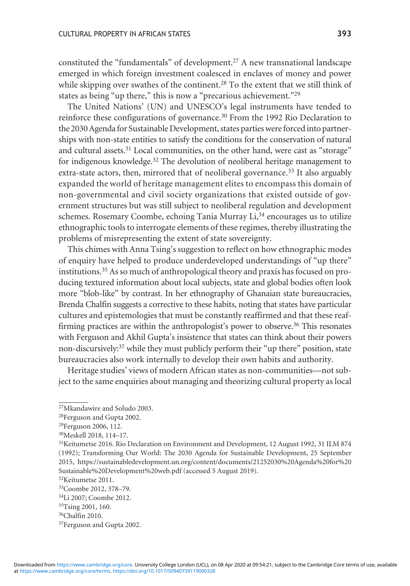constituted the "fundamentals" of development.27 A new transnational landscape emerged in which foreign investment coalesced in enclaves of money and power while skipping over swathes of the continent.<sup>28</sup> To the extent that we still think of states as being "up there," this is now a "precarious achievement."<sup>29</sup>

The United Nations' (UN) and UNESCO's legal instruments have tended to reinforce these configurations of governance.<sup>30</sup> From the 1992 Rio Declaration to the 2030 Agenda for Sustainable Development, states parties were forced into partnerships with non-state entities to satisfy the conditions for the conservation of natural and cultural assets. $31$  Local communities, on the other hand, were cast as "storage" for indigenous knowledge.<sup>32</sup> The devolution of neoliberal heritage management to extra-state actors, then, mirrored that of neoliberal governance.<sup>33</sup> It also arguably expanded the world of heritage management elites to encompass this domain of non-governmental and civil society organizations that existed outside of government structures but was still subject to neoliberal regulation and development schemes. Rosemary Coombe, echoing Tania Murray  $Li<sub>34</sub>$  encourages us to utilize ethnographic tools to interrogate elements of these regimes, thereby illustrating the problems of misrepresenting the extent of state sovereignty.

This chimes with Anna Tsing's suggestion to reflect on how ethnographic modes of enquiry have helped to produce underdeveloped understandings of "up there" institutions.35 As so much of anthropological theory and praxis has focused on producing textured information about local subjects, state and global bodies often look more "blob-like" by contrast. In her ethnography of Ghanaian state bureaucracies, Brenda Chalfin suggests a corrective to these habits, noting that states have particular cultures and epistemologies that must be constantly reaffirmed and that these reaffirming practices are within the anthropologist's power to observe.<sup>36</sup> This resonates with Ferguson and Akhil Gupta's insistence that states can think about their powers non-discursively:37 while they must publicly perform their "up there" position, state bureaucracies also work internally to develop their own habits and authority.

Heritage studies' views of modern African states as non-communities—not subject to the same enquiries about managing and theorizing cultural property as local

<sup>27</sup>Mkandawire and Soludo 2003.

<sup>28</sup>Ferguson and Gupta 2002.

<sup>29</sup>Ferguson 2006, 112.

<sup>30</sup>Meskell 2018, 114–17.

<sup>&</sup>lt;sup>31</sup>Keitumetse 2016. Rio Declaration on Environment and Development, 12 August 1992, 31 ILM 874 (1992); Transforming Our World: The 2030 Agenda for Sustainable Development, 25 September 2015, [https://sustainabledevelopment.un.org/content/documents/21252030%20Agenda%20for%20](https://sustainabledevelopment.un.org/content/documents/21252030%20Agenda%20for%20Sustainable%20Development%20web.pdf) [Sustainable%20Development%20web.pdf](https://sustainabledevelopment.un.org/content/documents/21252030%20Agenda%20for%20Sustainable%20Development%20web.pdf) (accessed 5 August 2019).

<sup>32</sup>Keitumetse 2011.

<sup>33</sup>Coombe 2012, 378–79.

<sup>34</sup>Li 2007; Coombe 2012.

<sup>&</sup>lt;sup>35</sup>Tsing 2001, 160.

<sup>36</sup>Chalfin 2010.

<sup>37</sup>Ferguson and Gupta 2002.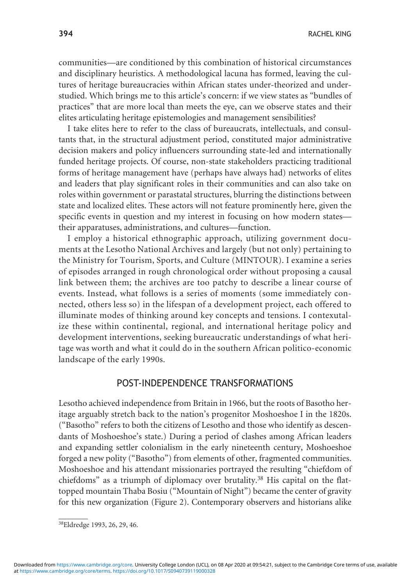communities—are conditioned by this combination of historical circumstances and disciplinary heuristics. A methodological lacuna has formed, leaving the cultures of heritage bureaucracies within African states under-theorized and understudied. Which brings me to this article's concern: if we view states as "bundles of practices" that are more local than meets the eye, can we observe states and their elites articulating heritage epistemologies and management sensibilities?

I take elites here to refer to the class of bureaucrats, intellectuals, and consultants that, in the structural adjustment period, constituted major administrative decision makers and policy influencers surrounding state-led and internationally funded heritage projects. Of course, non-state stakeholders practicing traditional forms of heritage management have (perhaps have always had) networks of elites and leaders that play significant roles in their communities and can also take on roles within government or parastatal structures, blurring the distinctions between state and localized elites. These actors will not feature prominently here, given the specific events in question and my interest in focusing on how modern states their apparatuses, administrations, and cultures—function.

I employ a historical ethnographic approach, utilizing government documents at the Lesotho National Archives and largely (but not only) pertaining to the Ministry for Tourism, Sports, and Culture (MINTOUR). I examine a series of episodes arranged in rough chronological order without proposing a causal link between them; the archives are too patchy to describe a linear course of events. Instead, what follows is a series of moments (some immediately connected, others less so) in the lifespan of a development project, each offered to illuminate modes of thinking around key concepts and tensions. I contexutalize these within continental, regional, and international heritage policy and development interventions, seeking bureaucratic understandings of what heritage was worth and what it could do in the southern African politico-economic landscape of the early 1990s.

## POST-INDEPENDENCE TRANSFORMATIONS

Lesotho achieved independence from Britain in 1966, but the roots of Basotho heritage arguably stretch back to the nation's progenitor Moshoeshoe I in the 1820s. ("Basotho" refers to both the citizens of Lesotho and those who identify as descendants of Moshoeshoe's state.) During a period of clashes among African leaders and expanding settler colonialism in the early nineteenth century, Moshoeshoe forged a new polity ("Basotho") from elements of other, fragmented communities. Moshoeshoe and his attendant missionaries portrayed the resulting "chiefdom of chiefdoms" as a triumph of diplomacy over brutality.38 His capital on the flattopped mountain Thaba Bosiu ("Mountain of Night") became the center of gravity for this new organization (Figure 2). Contemporary observers and historians alike

<sup>38</sup>Eldredge 1993, 26, 29, 46.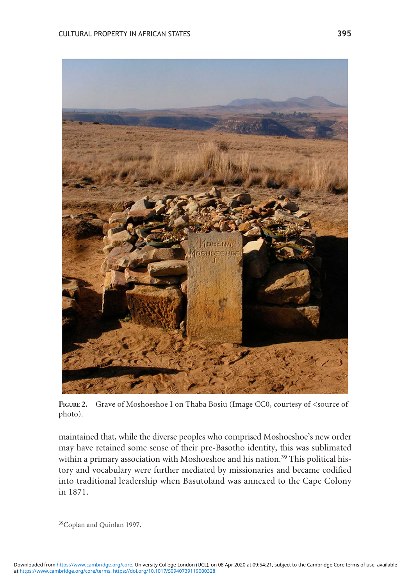

FIGURE 2. Grave of Moshoeshoe I on Thaba Bosiu (Image CC0, courtesy of <source of photo).

maintained that, while the diverse peoples who comprised Moshoeshoe's new order may have retained some sense of their pre-Basotho identity, this was sublimated within a primary association with Moshoeshoe and his nation.<sup>39</sup> This political history and vocabulary were further mediated by missionaries and became codified into traditional leadership when Basutoland was annexed to the Cape Colony in 1871.

<sup>39</sup>Coplan and Quinlan 1997.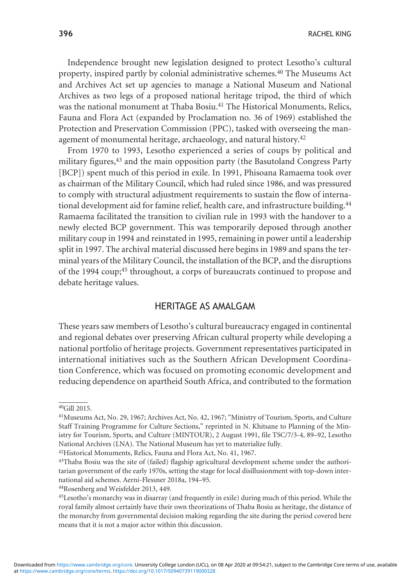Independence brought new legislation designed to protect Lesotho's cultural property, inspired partly by colonial administrative schemes.40 The Museums Act and Archives Act set up agencies to manage a National Museum and National Archives as two legs of a proposed national heritage tripod, the third of which was the national monument at Thaba Bosiu.<sup>41</sup> The Historical Monuments, Relics, Fauna and Flora Act (expanded by Proclamation no. 36 of 1969) established the Protection and Preservation Commission (PPC), tasked with overseeing the management of monumental heritage, archaeology, and natural history.<sup>42</sup>

From 1970 to 1993, Lesotho experienced a series of coups by political and military figures,<sup>43</sup> and the main opposition party (the Basutoland Congress Party [BCP]) spent much of this period in exile. In 1991, Phisoana Ramaema took over as chairman of the Military Council, which had ruled since 1986, and was pressured to comply with structural adjustment requirements to sustain the flow of international development aid for famine relief, health care, and infrastructure building.<sup>44</sup> Ramaema facilitated the transition to civilian rule in 1993 with the handover to a newly elected BCP government. This was temporarily deposed through another military coup in 1994 and reinstated in 1995, remaining in power until a leadership split in 1997. The archival material discussed here begins in 1989 and spans the terminal years of the Military Council, the installation of the BCP, and the disruptions of the 1994 coup;<sup>45</sup> throughout, a corps of bureaucrats continued to propose and debate heritage values.

## HERITAGE AS AMALGAM

These years saw members of Lesotho's cultural bureaucracy engaged in continental and regional debates over preserving African cultural property while developing a national portfolio of heritage projects. Government representatives participated in international initiatives such as the Southern African Development Coordination Conference, which was focused on promoting economic development and reducing dependence on apartheid South Africa, and contributed to the formation

 $40$ Gill 2015.

<sup>41</sup>Museums Act, No. 29, 1967; Archives Act, No. 42, 1967; "Ministry of Tourism, Sports, and Culture Staff Training Programme for Culture Sections," reprinted in N. Khitsane to Planning of the Ministry for Tourism, Sports, and Culture (MINTOUR), 2 August 1991, file TSC/7/3-4, 89–92, Lesotho National Archives (LNA). The National Museum has yet to materialize fully.

<sup>42</sup>Historical Monuments, Relics, Fauna and Flora Act, No. 41, 1967.

<sup>43</sup>Thaba Bosiu was the site of (failed) flagship agricultural development scheme under the authoritarian government of the early 1970s, setting the stage for local disillusionment with top-down international aid schemes. Aerni-Flessner 2018a, 194–95.

<sup>44</sup>Rosenberg and Weisfelder 2013, 449.

<sup>45</sup>Lesotho's monarchy was in disarray (and frequently in exile) during much of this period. While the royal family almost certainly have their own theorizations of Thaba Bosiu as heritage, the distance of the monarchy from governmental decision making regarding the site during the period covered here means that it is not a major actor within this discussion.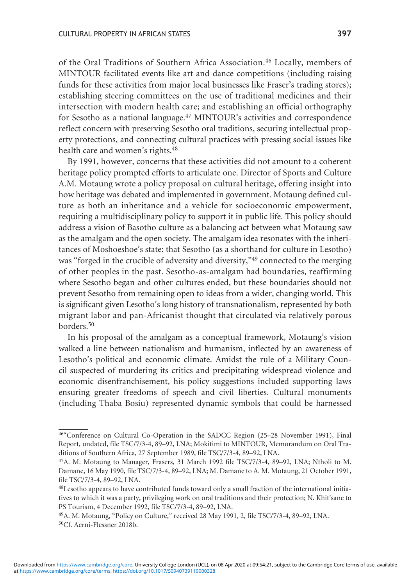of the Oral Traditions of Southern Africa Association.46 Locally, members of MINTOUR facilitated events like art and dance competitions (including raising funds for these activities from major local businesses like Fraser's trading stores); establishing steering committees on the use of traditional medicines and their intersection with modern health care; and establishing an official orthography for Sesotho as a national language.<sup>47</sup> MINTOUR's activities and correspondence reflect concern with preserving Sesotho oral traditions, securing intellectual property protections, and connecting cultural practices with pressing social issues like health care and women's rights.<sup>48</sup>

By 1991, however, concerns that these activities did not amount to a coherent heritage policy prompted efforts to articulate one. Director of Sports and Culture A.M. Motaung wrote a policy proposal on cultural heritage, offering insight into how heritage was debated and implemented in government. Motaung defined culture as both an inheritance and a vehicle for socioeconomic empowerment, requiring a multidisciplinary policy to support it in public life. This policy should address a vision of Basotho culture as a balancing act between what Motaung saw as the amalgam and the open society. The amalgam idea resonates with the inheritances of Moshoeshoe's state: that Sesotho (as a shorthand for culture in Lesotho) was "forged in the crucible of adversity and diversity,"<sup>49</sup> connected to the merging of other peoples in the past. Sesotho-as-amalgam had boundaries, reaffirming where Sesotho began and other cultures ended, but these boundaries should not prevent Sesotho from remaining open to ideas from a wider, changing world. This is significant given Lesotho's long history of transnationalism, represented by both migrant labor and pan-Africanist thought that circulated via relatively porous borders.50

In his proposal of the amalgam as a conceptual framework, Motaung's vision walked a line between nationalism and humanism, inflected by an awareness of Lesotho's political and economic climate. Amidst the rule of a Military Council suspected of murdering its critics and precipitating widespread violence and economic disenfranchisement, his policy suggestions included supporting laws ensuring greater freedoms of speech and civil liberties. Cultural monuments (including Thaba Bosiu) represented dynamic symbols that could be harnessed

<sup>46&</sup>quot;Conference on Cultural Co-Operation in the SADCC Region (25–28 November 1991), Final Report, undated, file TSC/7/3-4, 89–92, LNA; Mokitimi to MINTOUR, Memorandum on Oral Traditions of Southern Africa, 27 September 1989, file TSC/7/3-4, 89–92, LNA.

<sup>47</sup>A. M. Motaung to Manager, Frasers, 31 March 1992 file TSC/7/3-4, 89–92, LNA; Ntholi to M. Damane, 16 May 1990, file TSC/7/3-4, 89–92, LNA; M. Damane to A. M. Motaung, 21 October 1991, file TSC/7/3-4, 89–92, LNA.

<sup>48</sup>Lesotho appears to have contributed funds toward only a small fraction of the international initiatives to which it was a party, privileging work on oral traditions and their protection; N. Khit'sane to PS Tourism, 4 December 1992, file TSC/7/3-4, 89–92, LNA.

<sup>49</sup>A. M. Motaung, "Policy on Culture," received 28 May 1991, 2, file TSC/7/3-4, 89–92, LNA. 50Cf. Aerni-Flessner 2018b.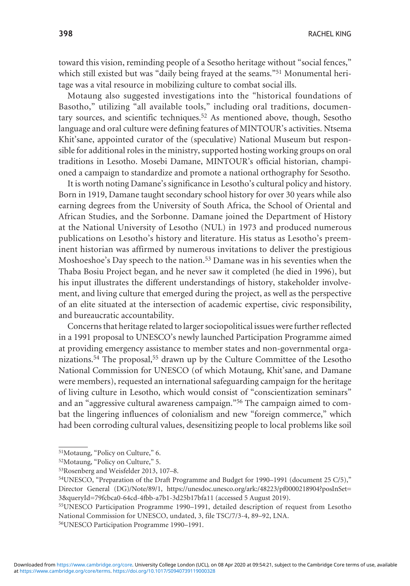toward this vision, reminding people of a Sesotho heritage without "social fences," which still existed but was "daily being frayed at the seams."<sup>51</sup> Monumental heritage was a vital resource in mobilizing culture to combat social ills.

Motaung also suggested investigations into the "historical foundations of Basotho," utilizing "all available tools," including oral traditions, documentary sources, and scientific techniques.<sup>52</sup> As mentioned above, though, Sesotho language and oral culture were defining features of MINTOUR's activities. Ntsema Khit'sane, appointed curator of the (speculative) National Museum but responsible for additional roles in the ministry, supported hosting working groups on oral traditions in Lesotho. Mosebi Damane, MINTOUR's official historian, championed a campaign to standardize and promote a national orthography for Sesotho.

It is worth noting Damane's significance in Lesotho's cultural policy and history. Born in 1919, Damane taught secondary school history for over 30 years while also earning degrees from the University of South Africa, the School of Oriental and African Studies, and the Sorbonne. Damane joined the Department of History at the National University of Lesotho (NUL) in 1973 and produced numerous publications on Lesotho's history and literature. His status as Lesotho's preeminent historian was affirmed by numerous invitations to deliver the prestigious Moshoeshoe's Day speech to the nation.<sup>53</sup> Damane was in his seventies when the Thaba Bosiu Project began, and he never saw it completed (he died in 1996), but his input illustrates the different understandings of history, stakeholder involvement, and living culture that emerged during the project, as well as the perspective of an elite situated at the intersection of academic expertise, civic responsibility, and bureaucratic accountability.

Concerns that heritage related to larger sociopolitical issues were further reflected in a 1991 proposal to UNESCO's newly launched Participation Programme aimed at providing emergency assistance to member states and non-governmental organizations.<sup>54</sup> The proposal,<sup>55</sup> drawn up by the Culture Committee of the Lesotho National Commission for UNESCO (of which Motaung, Khit'sane, and Damane were members), requested an international safeguarding campaign for the heritage of living culture in Lesotho, which would consist of "conscientization seminars" and an "aggressive cultural awareness campaign."56 The campaign aimed to combat the lingering influences of colonialism and new "foreign commerce," which had been corroding cultural values, desensitizing people to local problems like soil

<sup>51</sup>Motaung, "Policy on Culture," 6.

<sup>52</sup>Motaung, "Policy on Culture," 5.

<sup>53</sup>Rosenberg and Weisfelder 2013, 107–8.

<sup>54</sup>UNESCO, "Preparation of the Draft Programme and Budget for 1990–1991 (document 25 C/5)," Director General (DG)/Note/89/1, [https://unesdoc.unesco.org/ark:/48223/pf0000218904?posInSet=](https://unesdoc.unesco.org/ark:/48223/pf0000218904?posInSet=3&queryId=79fcbca0-64cd-4fbb-a7b1-3d25b17bfa11) [3&queryId=79fcbca0-64cd-4fbb-a7b1-3d25b17bfa11](https://unesdoc.unesco.org/ark:/48223/pf0000218904?posInSet=3&queryId=79fcbca0-64cd-4fbb-a7b1-3d25b17bfa11) (accessed 5 August 2019).

<sup>55</sup>UNESCO Participation Programme 1990–1991, detailed description of request from Lesotho National Commission for UNESCO, undated, 3, file TSC/7/3-4, 89–92, LNA.

<sup>56</sup>UNESCO Participation Programme 1990–1991.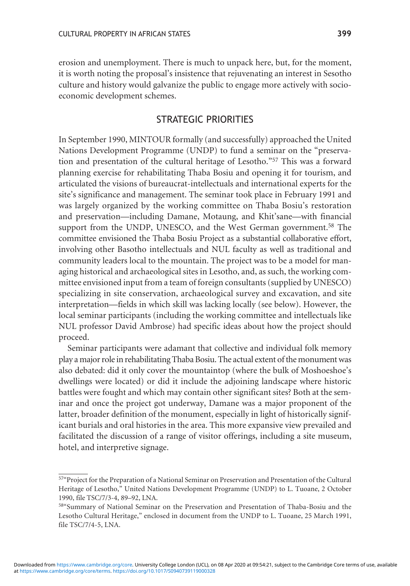erosion and unemployment. There is much to unpack here, but, for the moment, it is worth noting the proposal's insistence that rejuvenating an interest in Sesotho culture and history would galvanize the public to engage more actively with socioeconomic development schemes.

#### STRATEGIC PRIORITIES

In September 1990, MINTOUR formally (and successfully) approached the United Nations Development Programme (UNDP) to fund a seminar on the "preservation and presentation of the cultural heritage of Lesotho."57 This was a forward planning exercise for rehabilitating Thaba Bosiu and opening it for tourism, and articulated the visions of bureaucrat-intellectuals and international experts for the site's significance and management. The seminar took place in February 1991 and was largely organized by the working committee on Thaba Bosiu's restoration and preservation—including Damane, Motaung, and Khit'sane—with financial support from the UNDP, UNESCO, and the West German government.<sup>58</sup> The committee envisioned the Thaba Bosiu Project as a substantial collaborative effort, involving other Basotho intellectuals and NUL faculty as well as traditional and community leaders local to the mountain. The project was to be a model for managing historical and archaeological sites in Lesotho, and, as such, the working committee envisioned input from a team of foreign consultants (supplied by UNESCO) specializing in site conservation, archaeological survey and excavation, and site interpretation—fields in which skill was lacking locally (see below). However, the local seminar participants (including the working committee and intellectuals like NUL professor David Ambrose) had specific ideas about how the project should proceed.

Seminar participants were adamant that collective and individual folk memory play a major role in rehabilitating Thaba Bosiu. The actual extent of the monument was also debated: did it only cover the mountaintop (where the bulk of Moshoeshoe's dwellings were located) or did it include the adjoining landscape where historic battles were fought and which may contain other significant sites? Both at the seminar and once the project got underway, Damane was a major proponent of the latter, broader definition of the monument, especially in light of historically significant burials and oral histories in the area. This more expansive view prevailed and facilitated the discussion of a range of visitor offerings, including a site museum, hotel, and interpretive signage.

<sup>57&</sup>quot;Project for the Preparation of a National Seminar on Preservation and Presentation of the Cultural Heritage of Lesotho," United Nations Development Programme (UNDP) to L. Tuoane, 2 October 1990, file TSC/7/3-4, 89–92, LNA.

<sup>58&</sup>quot;Summary of National Seminar on the Preservation and Presentation of Thaba-Bosiu and the Lesotho Cultural Heritage," enclosed in document from the UNDP to L. Tuoane, 25 March 1991, file TSC/7/4-5, LNA.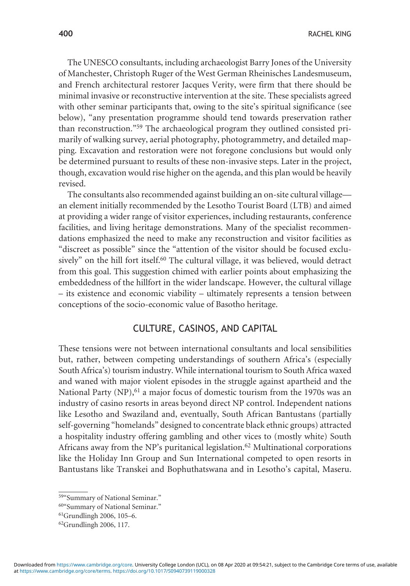The UNESCO consultants, including archaeologist Barry Jones of the University of Manchester, Christoph Ruger of the West German Rheinisches Landesmuseum, and French architectural restorer Jacques Verity, were firm that there should be minimal invasive or reconstructive intervention at the site. These specialists agreed with other seminar participants that, owing to the site's spiritual significance (see below), "any presentation programme should tend towards preservation rather than reconstruction."59 The archaeological program they outlined consisted primarily of walking survey, aerial photography, photogrammetry, and detailed mapping. Excavation and restoration were not foregone conclusions but would only be determined pursuant to results of these non-invasive steps. Later in the project, though, excavation would rise higher on the agenda, and this plan would be heavily revised.

The consultants also recommended against building an on-site cultural village an element initially recommended by the Lesotho Tourist Board (LTB) and aimed at providing a wider range of visitor experiences, including restaurants, conference facilities, and living heritage demonstrations. Many of the specialist recommendations emphasized the need to make any reconstruction and visitor facilities as "discreet as possible" since the "attention of the visitor should be focused exclusively" on the hill fort itself.<sup>60</sup> The cultural village, it was believed, would detract from this goal. This suggestion chimed with earlier points about emphasizing the embeddedness of the hillfort in the wider landscape. However, the cultural village – its existence and economic viability – ultimately represents a tension between conceptions of the socio-economic value of Basotho heritage.

#### CULTURE, CASINOS, AND CAPITAL

These tensions were not between international consultants and local sensibilities but, rather, between competing understandings of southern Africa's (especially South Africa's) tourism industry. While international tourism to South Africa waxed and waned with major violent episodes in the struggle against apartheid and the National Party  $(NP)$ , <sup>61</sup> a major focus of domestic tourism from the 1970s was an industry of casino resorts in areas beyond direct NP control. Independent nations like Lesotho and Swaziland and, eventually, South African Bantustans (partially self-governing "homelands" designed to concentrate black ethnic groups) attracted a hospitality industry offering gambling and other vices to (mostly white) South Africans away from the NP's puritanical legislation.<sup>62</sup> Multinational corporations like the Holiday Inn Group and Sun International competed to open resorts in Bantustans like Transkei and Bophuthatswana and in Lesotho's capital, Maseru.

<sup>59&</sup>quot;Summary of National Seminar."

<sup>60&</sup>quot;Summary of National Seminar."

 $61$ Grundlingh 2006, 105–6.

<sup>62</sup>Grundlingh 2006, 117.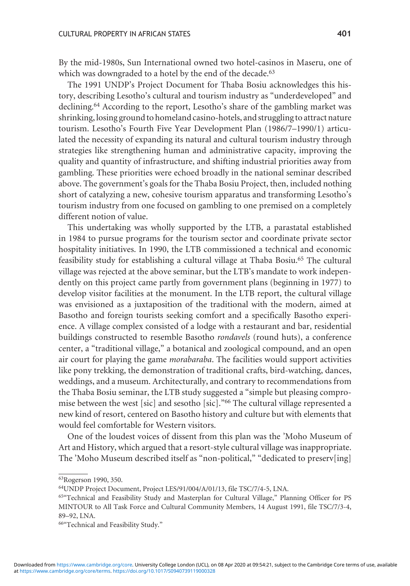By the mid-1980s, Sun International owned two hotel-casinos in Maseru, one of which was downgraded to a hotel by the end of the decade.<sup>63</sup>

The 1991 UNDP's Project Document for Thaba Bosiu acknowledges this history, describing Lesotho's cultural and tourism industry as "underdeveloped" and declining.64 According to the report, Lesotho's share of the gambling market was shrinking, losing ground to homeland casino-hotels, and struggling to attract nature tourism. Lesotho's Fourth Five Year Development Plan (1986/7–1990/1) articulated the necessity of expanding its natural and cultural tourism industry through strategies like strengthening human and administrative capacity, improving the quality and quantity of infrastructure, and shifting industrial priorities away from gambling. These priorities were echoed broadly in the national seminar described above. The government's goals for the Thaba Bosiu Project, then, included nothing short of catalyzing a new, cohesive tourism apparatus and transforming Lesotho's tourism industry from one focused on gambling to one premised on a completely different notion of value.

This undertaking was wholly supported by the LTB, a parastatal established in 1984 to pursue programs for the tourism sector and coordinate private sector hospitality initiatives. In 1990, the LTB commissioned a technical and economic feasibility study for establishing a cultural village at Thaba Bosiu.65 The cultural village was rejected at the above seminar, but the LTB's mandate to work independently on this project came partly from government plans (beginning in 1977) to develop visitor facilities at the monument. In the LTB report, the cultural village was envisioned as a juxtaposition of the traditional with the modern, aimed at Basotho and foreign tourists seeking comfort and a specifically Basotho experience. A village complex consisted of a lodge with a restaurant and bar, residential buildings constructed to resemble Basotho *rondavels* (round huts), a conference center, a "traditional village," a botanical and zoological compound, and an open air court for playing the game *morabaraba*. The facilities would support activities like pony trekking, the demonstration of traditional crafts, bird-watching, dances, weddings, and a museum. Architecturally, and contrary to recommendations from the Thaba Bosiu seminar, the LTB study suggested a "simple but pleasing compromise between the west [sic] and sesotho [sic]."66 The cultural village represented a new kind of resort, centered on Basotho history and culture but with elements that would feel comfortable for Western visitors.

One of the loudest voices of dissent from this plan was the 'Moho Museum of Art and History, which argued that a resort-style cultural village was inappropriate. The 'Moho Museum described itself as "non-political," "dedicated to preserv[ing]

<sup>63</sup>Rogerson 1990, 350.

<sup>64</sup>UNDP Project Document, Project LES/91/004/A/01/13, file TSC/7/4-5, LNA.

<sup>65&</sup>quot;Technical and Feasibility Study and Masterplan for Cultural Village," Planning Officer for PS MINTOUR to All Task Force and Cultural Community Members, 14 August 1991, file TSC/7/3-4, 89–92, LNA.

<sup>66&</sup>quot;Technical and Feasibility Study."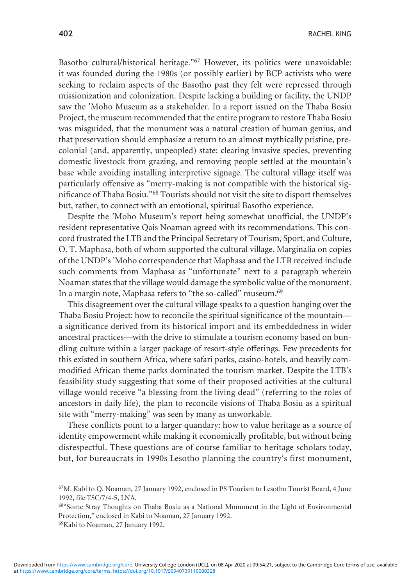Basotho cultural/historical heritage."67 However, its politics were unavoidable: it was founded during the 1980s (or possibly earlier) by BCP activists who were seeking to reclaim aspects of the Basotho past they felt were repressed through missionization and colonization. Despite lacking a building or facility, the UNDP saw the 'Moho Museum as a stakeholder. In a report issued on the Thaba Bosiu Project, the museum recommended that the entire program to restore Thaba Bosiu was misguided, that the monument was a natural creation of human genius, and that preservation should emphasize a return to an almost mythically pristine, precolonial (and, apparently, unpeopled) state: clearing invasive species, preventing domestic livestock from grazing, and removing people settled at the mountain's base while avoiding installing interpretive signage. The cultural village itself was particularly offensive as "merry-making is not compatible with the historical significance of Thaba Bosiu."68 Tourists should not visit the site to disport themselves but, rather, to connect with an emotional, spiritual Basotho experience.

Despite the 'Moho Museum's report being somewhat unofficial, the UNDP's resident representative Qais Noaman agreed with its recommendations. This concord frustrated the LTB and the Principal Secretary of Tourism, Sport, and Culture, O. T. Maphasa, both of whom supported the cultural village. Marginalia on copies of the UNDP's 'Moho correspondence that Maphasa and the LTB received include such comments from Maphasa as "unfortunate" next to a paragraph wherein Noaman states that the village would damage the symbolic value of the monument. In a margin note, Maphasa refers to "the so-called" museum.<sup>69</sup>

This disagreement over the cultural village speaks to a question hanging over the Thaba Bosiu Project: how to reconcile the spiritual significance of the mountain a significance derived from its historical import and its embeddedness in wider ancestral practices—with the drive to stimulate a tourism economy based on bundling culture within a larger package of resort-style offerings. Few precedents for this existed in southern Africa, where safari parks, casino-hotels, and heavily commodified African theme parks dominated the tourism market. Despite the LTB's feasibility study suggesting that some of their proposed activities at the cultural village would receive "a blessing from the living dead" (referring to the roles of ancestors in daily life), the plan to reconcile visions of Thaba Bosiu as a spiritual site with "merry-making" was seen by many as unworkable.

These conflicts point to a larger quandary: how to value heritage as a source of identity empowerment while making it economically profitable, but without being disrespectful. These questions are of course familiar to heritage scholars today, but, for bureaucrats in 1990s Lesotho planning the country's first monument,

<sup>67</sup>M. Kabi to Q. Noaman, 27 January 1992, enclosed in PS Tourism to Lesotho Tourist Board, 4 June 1992, file TSC/7/4-5, LNA.

<sup>68&</sup>quot;Some Stray Thoughts on Thaba Bosiu as a National Monument in the Light of Environmental Protection," enclosed in Kabi to Noaman, 27 January 1992.

<sup>69</sup>Kabi to Noaman, 27 January 1992.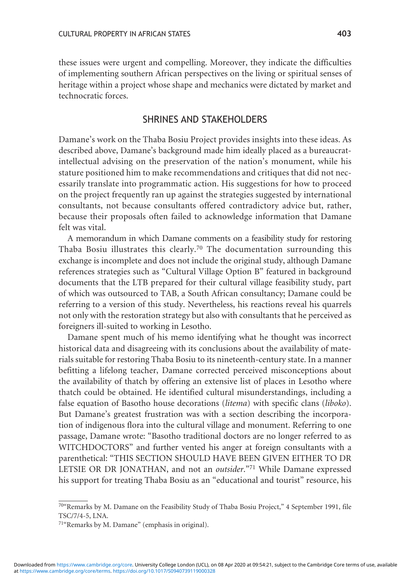these issues were urgent and compelling. Moreover, they indicate the difficulties of implementing southern African perspectives on the living or spiritual senses of heritage within a project whose shape and mechanics were dictated by market and technocratic forces.

#### SHRINES AND STAKEHOLDERS

Damane's work on the Thaba Bosiu Project provides insights into these ideas. As described above, Damane's background made him ideally placed as a bureaucratintellectual advising on the preservation of the nation's monument, while his stature positioned him to make recommendations and critiques that did not necessarily translate into programmatic action. His suggestions for how to proceed on the project frequently ran up against the strategies suggested by international consultants, not because consultants offered contradictory advice but, rather, because their proposals often failed to acknowledge information that Damane felt was vital.

A memorandum in which Damane comments on a feasibility study for restoring Thaba Bosiu illustrates this clearly.<sup>70</sup> The documentation surrounding this exchange is incomplete and does not include the original study, although Damane references strategies such as "Cultural Village Option B" featured in background documents that the LTB prepared for their cultural village feasibility study, part of which was outsourced to TAB, a South African consultancy; Damane could be referring to a version of this study. Nevertheless, his reactions reveal his quarrels not only with the restoration strategy but also with consultants that he perceived as foreigners ill-suited to working in Lesotho.

Damane spent much of his memo identifying what he thought was incorrect historical data and disagreeing with its conclusions about the availability of materials suitable for restoring Thaba Bosiu to its nineteenth-century state. In a manner befitting a lifelong teacher, Damane corrected perceived misconceptions about the availability of thatch by offering an extensive list of places in Lesotho where thatch could be obtained. He identified cultural misunderstandings, including a false equation of Basotho house decorations (*litema*) with specific clans (*liboko*). But Damane's greatest frustration was with a section describing the incorporation of indigenous flora into the cultural village and monument. Referring to one passage, Damane wrote: "Basotho traditional doctors are no longer referred to as WITCHDOCTORS" and further vented his anger at foreign consultants with a parenthetical: "THIS SECTION SHOULD HAVE BEEN GIVEN EITHER TO DR LETSIE OR DR JONATHAN, and not an *outsider*."71 While Damane expressed his support for treating Thaba Bosiu as an "educational and tourist" resource, his

<sup>70&</sup>quot;Remarks by M. Damane on the Feasibility Study of Thaba Bosiu Project," 4 September 1991, file TSC/7/4-5, LNA.

<sup>71&</sup>quot;Remarks by M. Damane" (emphasis in original).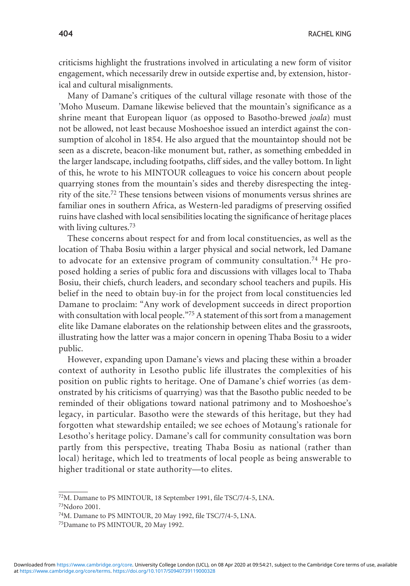criticisms highlight the frustrations involved in articulating a new form of visitor engagement, which necessarily drew in outside expertise and, by extension, historical and cultural misalignments.

Many of Damane's critiques of the cultural village resonate with those of the 'Moho Museum. Damane likewise believed that the mountain's significance as a shrine meant that European liquor (as opposed to Basotho-brewed *joala*) must not be allowed, not least because Moshoeshoe issued an interdict against the consumption of alcohol in 1854. He also argued that the mountaintop should not be seen as a discrete, beacon-like monument but, rather, as something embedded in the larger landscape, including footpaths, cliff sides, and the valley bottom. In light of this, he wrote to his MINTOUR colleagues to voice his concern about people quarrying stones from the mountain's sides and thereby disrespecting the integrity of the site.72 These tensions between visions of monuments versus shrines are familiar ones in southern Africa, as Western-led paradigms of preserving ossified ruins have clashed with local sensibilities locating the significance of heritage places with living cultures.<sup>73</sup>

These concerns about respect for and from local constituencies, as well as the location of Thaba Bosiu within a larger physical and social network, led Damane to advocate for an extensive program of community consultation.74 He proposed holding a series of public fora and discussions with villages local to Thaba Bosiu, their chiefs, church leaders, and secondary school teachers and pupils. His belief in the need to obtain buy-in for the project from local constituencies led Damane to proclaim: "Any work of development succeeds in direct proportion with consultation with local people.<sup>"75</sup> A statement of this sort from a management elite like Damane elaborates on the relationship between elites and the grassroots, illustrating how the latter was a major concern in opening Thaba Bosiu to a wider public.

However, expanding upon Damane's views and placing these within a broader context of authority in Lesotho public life illustrates the complexities of his position on public rights to heritage. One of Damane's chief worries (as demonstrated by his criticisms of quarrying) was that the Basotho public needed to be reminded of their obligations toward national patrimony and to Moshoeshoe's legacy, in particular. Basotho were the stewards of this heritage, but they had forgotten what stewardship entailed; we see echoes of Motaung's rationale for Lesotho's heritage policy. Damane's call for community consultation was born partly from this perspective, treating Thaba Bosiu as national (rather than local) heritage, which led to treatments of local people as being answerable to higher traditional or state authority—to elites.

<sup>72</sup>M. Damane to PS MINTOUR, 18 September 1991, file TSC/7/4-5, LNA. 73Ndoro 2001.

<sup>74</sup>M. Damane to PS MINTOUR, 20 May 1992, file TSC/7/4-5, LNA.

<sup>75</sup>Damane to PS MINTOUR, 20 May 1992.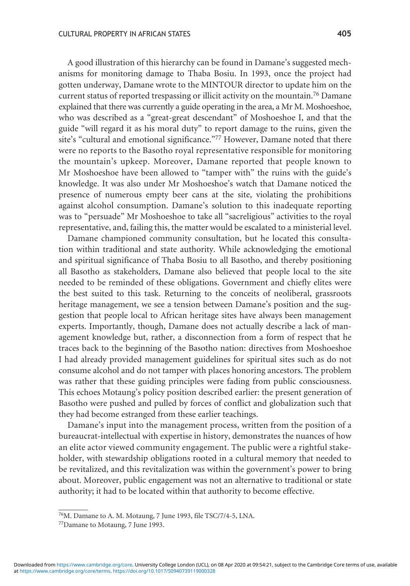A good illustration of this hierarchy can be found in Damane's suggested mechanisms for monitoring damage to Thaba Bosiu. In 1993, once the project had gotten underway, Damane wrote to the MINTOUR director to update him on the current status of reported trespassing or illicit activity on the mountain.76 Damane explained that there was currently a guide operating in the area, a Mr M. Moshoeshoe, who was described as a "great-great descendant" of Moshoeshoe I, and that the guide "will regard it as his moral duty" to report damage to the ruins, given the site's "cultural and emotional significance."77 However, Damane noted that there were no reports to the Basotho royal representative responsible for monitoring the mountain's upkeep. Moreover, Damane reported that people known to Mr Moshoeshoe have been allowed to "tamper with" the ruins with the guide's knowledge. It was also under Mr Moshoeshoe's watch that Damane noticed the presence of numerous empty beer cans at the site, violating the prohibitions against alcohol consumption. Damane's solution to this inadequate reporting was to "persuade" Mr Moshoeshoe to take all "sacreligious" activities to the royal representative, and, failing this, the matter would be escalated to a ministerial level.

Damane championed community consultation, but he located this consultation within traditional and state authority. While acknowledging the emotional and spiritual significance of Thaba Bosiu to all Basotho, and thereby positioning all Basotho as stakeholders, Damane also believed that people local to the site needed to be reminded of these obligations. Government and chiefly elites were the best suited to this task. Returning to the conceits of neoliberal, grassroots heritage management, we see a tension between Damane's position and the suggestion that people local to African heritage sites have always been management experts. Importantly, though, Damane does not actually describe a lack of management knowledge but, rather, a disconnection from a form of respect that he traces back to the beginning of the Basotho nation: directives from Moshoeshoe I had already provided management guidelines for spiritual sites such as do not consume alcohol and do not tamper with places honoring ancestors. The problem was rather that these guiding principles were fading from public consciousness. This echoes Motaung's policy position described earlier: the present generation of Basotho were pushed and pulled by forces of conflict and globalization such that they had become estranged from these earlier teachings.

Damane's input into the management process, written from the position of a bureaucrat-intellectual with expertise in history, demonstrates the nuances of how an elite actor viewed community engagement. The public were a rightful stakeholder, with stewardship obligations rooted in a cultural memory that needed to be revitalized, and this revitalization was within the government's power to bring about. Moreover, public engagement was not an alternative to traditional or state authority; it had to be located within that authority to become effective.

<sup>76</sup>M. Damane to A. M. Motaung, 7 June 1993, file TSC/7/4-5, LNA.

<sup>77</sup>Damane to Motaung, 7 June 1993.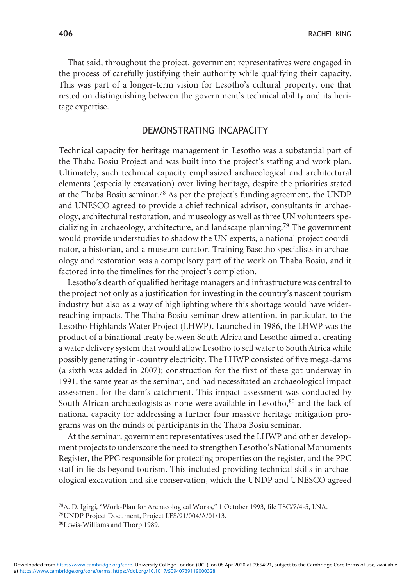That said, throughout the project, government representatives were engaged in the process of carefully justifying their authority while qualifying their capacity. This was part of a longer-term vision for Lesotho's cultural property, one that rested on distinguishing between the government's technical ability and its heritage expertise.

#### DEMONSTRATING INCAPACITY

Technical capacity for heritage management in Lesotho was a substantial part of the Thaba Bosiu Project and was built into the project's staffing and work plan. Ultimately, such technical capacity emphasized archaeological and architectural elements (especially excavation) over living heritage, despite the priorities stated at the Thaba Bosiu seminar.<sup>78</sup> As per the project's funding agreement, the UNDP and UNESCO agreed to provide a chief technical advisor, consultants in archaeology, architectural restoration, and museology as well as three UN volunteers specializing in archaeology, architecture, and landscape planning.79 The government would provide understudies to shadow the UN experts, a national project coordinator, a historian, and a museum curator. Training Basotho specialists in archaeology and restoration was a compulsory part of the work on Thaba Bosiu, and it factored into the timelines for the project's completion.

Lesotho's dearth of qualified heritage managers and infrastructure was central to the project not only as a justification for investing in the country's nascent tourism industry but also as a way of highlighting where this shortage would have widerreaching impacts. The Thaba Bosiu seminar drew attention, in particular, to the Lesotho Highlands Water Project (LHWP). Launched in 1986, the LHWP was the product of a binational treaty between South Africa and Lesotho aimed at creating a water delivery system that would allow Lesotho to sell water to South Africa while possibly generating in-country electricity. The LHWP consisted of five mega-dams (a sixth was added in 2007); construction for the first of these got underway in 1991, the same year as the seminar, and had necessitated an archaeological impact assessment for the dam's catchment. This impact assessment was conducted by South African archaeologists as none were available in Lesotho,<sup>80</sup> and the lack of national capacity for addressing a further four massive heritage mitigation programs was on the minds of participants in the Thaba Bosiu seminar.

At the seminar, government representatives used the LHWP and other development projects to underscore the need to strengthen Lesotho's National Monuments Register, the PPC responsible for protecting properties on the register, and the PPC staff in fields beyond tourism. This included providing technical skills in archaeological excavation and site conservation, which the UNDP and UNESCO agreed

<sup>78</sup>A. D. Igirgi, "Work-Plan for Archaeological Works," 1 October 1993, file TSC/7/4-5, LNA.

<sup>79</sup>UNDP Project Document, Project LES/91/004/A/01/13.

<sup>80</sup>Lewis-Williams and Thorp 1989.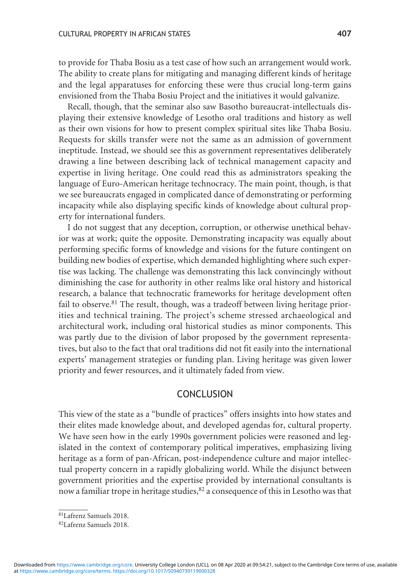to provide for Thaba Bosiu as a test case of how such an arrangement would work. The ability to create plans for mitigating and managing different kinds of heritage and the legal apparatuses for enforcing these were thus crucial long-term gains envisioned from the Thaba Bosiu Project and the initiatives it would galvanize.

Recall, though, that the seminar also saw Basotho bureaucrat-intellectuals displaying their extensive knowledge of Lesotho oral traditions and history as well as their own visions for how to present complex spiritual sites like Thaba Bosiu. Requests for skills transfer were not the same as an admission of government ineptitude. Instead, we should see this as government representatives deliberately drawing a line between describing lack of technical management capacity and expertise in living heritage. One could read this as administrators speaking the language of Euro-American heritage technocracy. The main point, though, is that we see bureaucrats engaged in complicated dance of demonstrating or performing incapacity while also displaying specific kinds of knowledge about cultural property for international funders.

I do not suggest that any deception, corruption, or otherwise unethical behavior was at work; quite the opposite. Demonstrating incapacity was equally about performing specific forms of knowledge and visions for the future contingent on building new bodies of expertise, which demanded highlighting where such expertise was lacking. The challenge was demonstrating this lack convincingly without diminishing the case for authority in other realms like oral history and historical research, a balance that technocratic frameworks for heritage development often fail to observe.<sup>81</sup> The result, though, was a tradeoff between living heritage priorities and technical training. The project's scheme stressed archaeological and architectural work, including oral historical studies as minor components. This was partly due to the division of labor proposed by the government representatives, but also to the fact that oral traditions did not fit easily into the international experts' management strategies or funding plan. Living heritage was given lower priority and fewer resources, and it ultimately faded from view.

## **CONCLUSION**

This view of the state as a "bundle of practices" offers insights into how states and their elites made knowledge about, and developed agendas for, cultural property. We have seen how in the early 1990s government policies were reasoned and legislated in the context of contemporary political imperatives, emphasizing living heritage as a form of pan-African, post-independence culture and major intellectual property concern in a rapidly globalizing world. While the disjunct between government priorities and the expertise provided by international consultants is now a familiar trope in heritage studies,  $82$  a consequence of this in Lesotho was that

<sup>81</sup>Lafrenz Samuels 2018.

<sup>82</sup>Lafrenz Samuels 2018.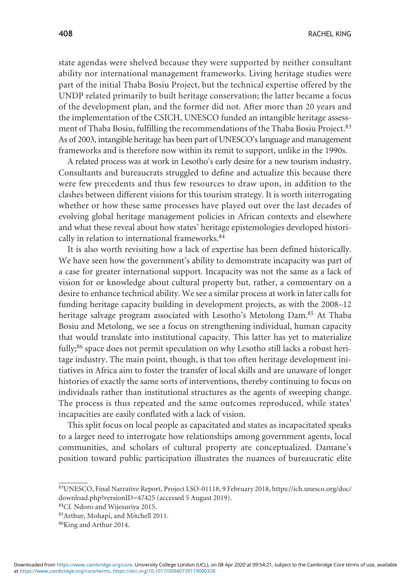state agendas were shelved because they were supported by neither consultant ability nor international management frameworks. Living heritage studies were part of the initial Thaba Bosiu Project, but the technical expertise offered by the UNDP related primarily to built heritage conservation; the latter became a focus of the development plan, and the former did not. After more than 20 years and the implementation of the CSICH, UNESCO funded an intangible heritage assessment of Thaba Bosiu, fulfilling the recommendations of the Thaba Bosiu Project.<sup>83</sup> As of 2003, intangible heritage has been part of UNESCO's language and management frameworks and is therefore now within its remit to support, unlike in the 1990s.

A related process was at work in Lesotho's early desire for a new tourism industry. Consultants and bureaucrats struggled to define and actualize this because there were few precedents and thus few resources to draw upon, in addition to the clashes between different visions for this tourism strategy. It is worth interrogating whether or how these same processes have played out over the last decades of evolving global heritage management policies in African contexts and elsewhere and what these reveal about how states' heritage epistemologies developed historically in relation to international frameworks.<sup>84</sup>

It is also worth revisiting how a lack of expertise has been defined historically. We have seen how the government's ability to demonstrate incapacity was part of a case for greater international support. Incapacity was not the same as a lack of vision for or knowledge about cultural property but, rather, a commentary on a desire to enhance technical ability. We see a similar process at work in later calls for funding heritage capacity building in development projects, as with the 2008–12 heritage salvage program associated with Lesotho's Metolong Dam.<sup>85</sup> At Thaba Bosiu and Metolong, we see a focus on strengthening individual, human capacity that would translate into institutional capacity. This latter has yet to materialize fully;<sup>86</sup> space does not permit speculation on why Lesotho still lacks a robust heritage industry. The main point, though, is that too often heritage development initiatives in Africa aim to foster the transfer of local skills and are unaware of longer histories of exactly the same sorts of interventions, thereby continuing to focus on individuals rather than institutional structures as the agents of sweeping change. The process is thus repeated and the same outcomes reproduced, while states' incapacities are easily conflated with a lack of vision.

This split focus on local people as capacitated and states as incapacitated speaks to a larger need to interrogate how relationships among government agents, local communities, and scholars of cultural property are conceptualized. Damane's position toward public participation illustrates the nuances of bureaucratic elite

<sup>83</sup>UNESCO, Final Narrative Report, Project LSO-01118, 9 February 2018, [https://ich.unesco.org/doc/](https://ich.unesco.org/doc/download.php?versionID=47425) [download.php?versionID=47425](https://ich.unesco.org/doc/download.php?versionID=47425) (accessed 5 August 2019).

<sup>84</sup>Cf. Ndoro and Wijesuriya 2015.

<sup>85</sup>Arthur, Mohapi, and Mitchell 2011.

<sup>86</sup>King and Arthur 2014.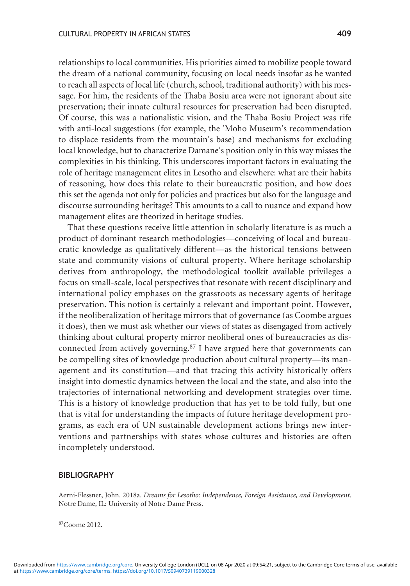relationships to local communities. His priorities aimed to mobilize people toward the dream of a national community, focusing on local needs insofar as he wanted to reach all aspects of local life (church, school, traditional authority) with his message. For him, the residents of the Thaba Bosiu area were not ignorant about site preservation; their innate cultural resources for preservation had been disrupted. Of course, this was a nationalistic vision, and the Thaba Bosiu Project was rife with anti-local suggestions (for example, the 'Moho Museum's recommendation to displace residents from the mountain's base) and mechanisms for excluding local knowledge, but to characterize Damane's position only in this way misses the complexities in his thinking. This underscores important factors in evaluating the role of heritage management elites in Lesotho and elsewhere: what are their habits of reasoning, how does this relate to their bureaucratic position, and how does this set the agenda not only for policies and practices but also for the language and discourse surrounding heritage? This amounts to a call to nuance and expand how management elites are theorized in heritage studies.

That these questions receive little attention in scholarly literature is as much a product of dominant research methodologies—conceiving of local and bureaucratic knowledge as qualitatively different—as the historical tensions between state and community visions of cultural property. Where heritage scholarship derives from anthropology, the methodological toolkit available privileges a focus on small-scale, local perspectives that resonate with recent disciplinary and international policy emphases on the grassroots as necessary agents of heritage preservation. This notion is certainly a relevant and important point. However, if the neoliberalization of heritage mirrors that of governance (as Coombe argues it does), then we must ask whether our views of states as disengaged from actively thinking about cultural property mirror neoliberal ones of bureaucracies as disconnected from actively governing.<sup>87</sup> I have argued here that governments can be compelling sites of knowledge production about cultural property—its management and its constitution—and that tracing this activity historically offers insight into domestic dynamics between the local and the state, and also into the trajectories of international networking and development strategies over time. This is a history of knowledge production that has yet to be told fully, but one that is vital for understanding the impacts of future heritage development programs, as each era of UN sustainable development actions brings new interventions and partnerships with states whose cultures and histories are often incompletely understood.

#### **BIBLIOGRAPHY**

Aerni-Flessner, John. 2018a. *Dreams for Lesotho: Independence, Foreign Assistance, and Development*. Notre Dame, IL: University of Notre Dame Press.

<sup>87</sup>Coome 2012.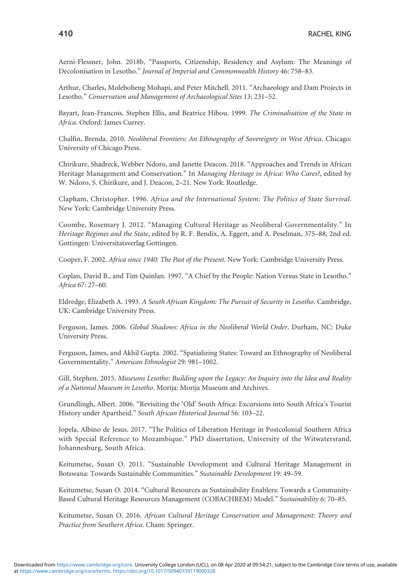Aerni-Flessner, John. 2018b. "Passports, Citizenship, Residency and Asylum: The Meanings of Decolonisation in Lesotho." *Journal of Imperial and Commonwealth History* 46: 758–83.

Arthur, Charles, Moleboheng Mohapi, and Peter Mitchell. 2011. "Archaeology and Dam Projects in Lesotho." *Conservation and Management of Archaeological Sites* 13: 231–52.

Bayart, Jean-Francois, Stephen Ellis, and Beatrice Hibou. 1999. *The Criminalisation of the State in Africa*. Oxford: James Currey.

Chalfin, Brenda. 2010. *Neoliberal Frontiers: An Ethnography of Sovereignty in West Africa*. Chicago: University of Chicago Press.

Chirikure, Shadreck, Webber Ndoro, and Janette Deacon. 2018. "Approaches and Trends in African Heritage Management and Conservation." In *Managing Heritage in Africa: Who Cares?*, edited by W. Ndoro, S. Chirikure, and J. Deacon, 2–21. New York: Routledge.

Clapham, Christopher. 1996. *Africa and the International System: The Politics of State Survival*. New York: Cambridge University Press.

Coombe, Rosemary J. 2012. "Managing Cultural Heritage as Neoliberal Governmentality." In *Heritage Regimes and the State*, edited by R. F. Bendix, A. Eggert, and A. Peselman, 375–88, 2nd ed. Gottingen: Universitatsverlag Gottingen.

Cooper, F. 2002. *Africa since 1940: The Past of the Present*. New York: Cambridge University Press.

Coplan, David B., and Tim Quinlan. 1997. "A Chief by the People: Nation Versus State in Lesotho." *Africa* 67: 27–60.

Eldredge, Elizabeth A. 1993. *A South African Kingdom: The Pursuit of Security in Lesotho*. Cambridge, UK: Cambridge University Press.

Ferguson, James. 2006. *Global Shadows: Africa in the Neoliberal World Order*. Durham, NC: Duke University Press.

Ferguson, James, and Akhil Gupta. 2002. "Spatializing States: Toward an Ethnography of Neoliberal Governmentality." *American Ethnologist* 29: 981–1002.

Gill, Stephen. 2015. *Museums Lesotho: Building upon the Legacy: An Inquiry into the Idea and Reality of a National Museum in Lesotho*. Morija: Morija Museum and Archives.

Grundlingh, Albert. 2006. "Revisiting the 'Old' South Africa: Excursions into South Africa's Tourist History under Apartheid." *South African Historical Journal* 56: 103–22.

Jopela, Albino de Jesus. 2017. "The Politics of Liberation Heritage in Postcolonial Southern Africa with Special Reference to Mozambique." PhD dissertation, University of the Witwatersrand, Johannesburg, South Africa.

Keitumetse, Susan O. 2011. "Sustainable Development and Cultural Heritage Management in Botswana: Towards Sustainable Communities." *Sustainable Development* 19: 49–59.

Keitumetse, Susan O. 2014. "Cultural Resources as Sustainability Enablers: Towards a Community-Based Cultural Heritage Resources Management (COBACHREM) Model." *Sustainability* 6: 70–85.

Keitumetse, Susan O. 2016. *African Cultural Heritage Conservation and Management: Theory and Practice from Southern Africa*. Cham: Springer.